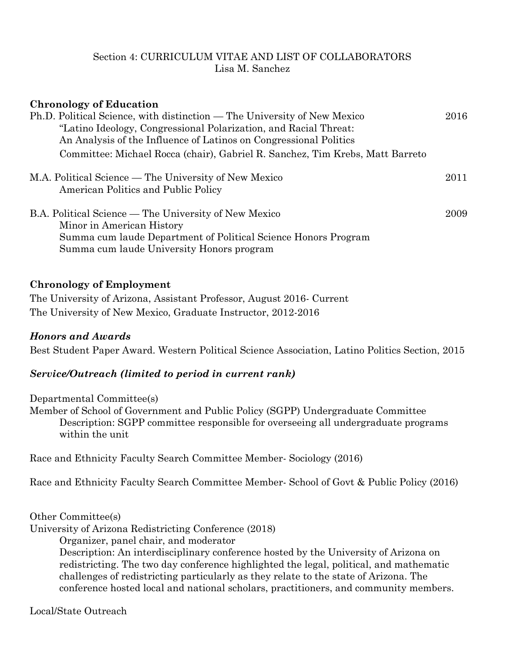#### Section 4: CURRICULUM VITAE AND LIST OF COLLABORATORS Lisa M. Sanchez

| <b>Chronology of Education</b>                                                                                                                                                                                    |      |
|-------------------------------------------------------------------------------------------------------------------------------------------------------------------------------------------------------------------|------|
| Ph.D. Political Science, with distinction — The University of New Mexico<br>"Latino Ideology, Congressional Polarization, and Racial Threat:<br>An Analysis of the Influence of Latinos on Congressional Politics | 2016 |
| Committee: Michael Rocca (chair), Gabriel R. Sanchez, Tim Krebs, Matt Barreto                                                                                                                                     |      |
| M.A. Political Science — The University of New Mexico<br>American Politics and Public Policy                                                                                                                      | 2011 |
| B.A. Political Science — The University of New Mexico<br>Minor in American History<br>Summa cum laude Department of Political Science Honors Program<br>Summa cum laude University Honors program                 | 2009 |

#### **Chronology of Employment**

The University of Arizona, Assistant Professor, August 2016- Current The University of New Mexico, Graduate Instructor, 2012-2016

#### *Honors and Awards*

Best Student Paper Award. Western Political Science Association, Latino Politics Section, 2015

# *Service/Outreach (limited to period in current rank)*

Departmental Committee(s) Member of School of Government and Public Policy (SGPP) Undergraduate Committee Description: SGPP committee responsible for overseeing all undergraduate programs within the unit

Race and Ethnicity Faculty Search Committee Member- Sociology (2016)

Race and Ethnicity Faculty Search Committee Member- School of Govt & Public Policy (2016)

Other Committee(s)

University of Arizona Redistricting Conference (2018)

Organizer, panel chair, and moderator

Description: An interdisciplinary conference hosted by the University of Arizona on redistricting. The two day conference highlighted the legal, political, and mathematic challenges of redistricting particularly as they relate to the state of Arizona. The conference hosted local and national scholars, practitioners, and community members.

Local/State Outreach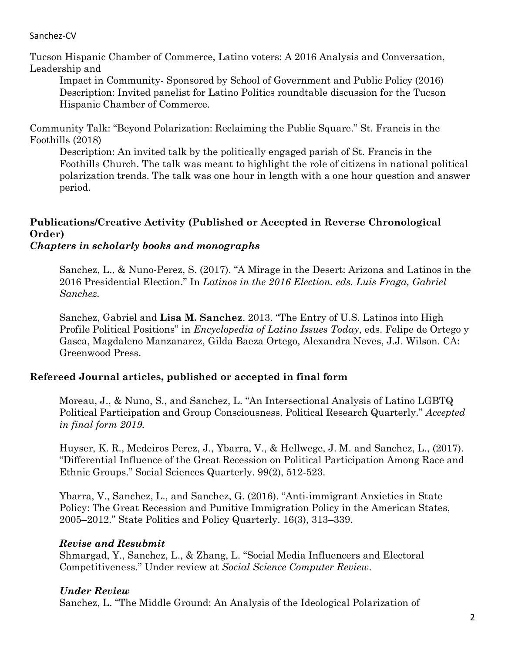Tucson Hispanic Chamber of Commerce, Latino voters: A 2016 Analysis and Conversation, Leadership and

Impact in Community- Sponsored by School of Government and Public Policy (2016) Description: Invited panelist for Latino Politics roundtable discussion for the Tucson Hispanic Chamber of Commerce.

Community Talk: "Beyond Polarization: Reclaiming the Public Square." St. Francis in the Foothills (2018)

Description: An invited talk by the politically engaged parish of St. Francis in the Foothills Church. The talk was meant to highlight the role of citizens in national political polarization trends. The talk was one hour in length with a one hour question and answer period.

# **Publications/Creative Activity (Published or Accepted in Reverse Chronological Order)**

# *Chapters in scholarly books and monographs*

Sanchez, L., & Nuno-Perez, S. (2017). "A Mirage in the Desert: Arizona and Latinos in the 2016 Presidential Election." In *Latinos in the 2016 Election. eds. Luis Fraga, Gabriel Sanchez.*

Sanchez, Gabriel and **Lisa M. Sanchez**. 2013. "The Entry of U.S. Latinos into High Profile Political Positions" in *Encyclopedia of Latino Issues Today*, eds. Felipe de Ortego y Gasca, Magdaleno Manzanarez, Gilda Baeza Ortego, Alexandra Neves, J.J. Wilson. CA: Greenwood Press.

# **Refereed Journal articles, published or accepted in final form**

Moreau, J., & Nuno, S., and Sanchez, L. "An Intersectional Analysis of Latino LGBTQ Political Participation and Group Consciousness. Political Research Quarterly." *Accepted in final form 2019.* 

Huyser, K. R., Medeiros Perez, J., Ybarra, V., & Hellwege, J. M. and Sanchez, L., (2017). "Differential Influence of the Great Recession on Political Participation Among Race and Ethnic Groups." Social Sciences Quarterly. 99(2), 512-523.

Ybarra, V., Sanchez, L., and Sanchez, G. (2016). "Anti-immigrant Anxieties in State Policy: The Great Recession and Punitive Immigration Policy in the American States, 2005–2012." State Politics and Policy Quarterly. 16(3), 313–339.

# *Revise and Resubmit*

Shmargad, Y., Sanchez, L., & Zhang, L. "Social Media Influencers and Electoral Competitiveness." Under review at *Social Science Computer Review*.

# *Under Review*

Sanchez, L. "The Middle Ground: An Analysis of the Ideological Polarization of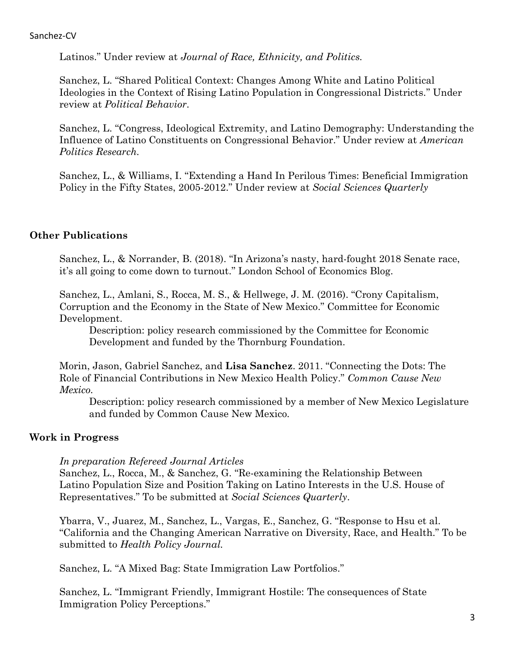Latinos." Under review at *Journal of Race, Ethnicity, and Politics.* 

Sanchez, L. "Shared Political Context: Changes Among White and Latino Political Ideologies in the Context of Rising Latino Population in Congressional Districts." Under review at *Political Behavior*.

Sanchez, L. "Congress, Ideological Extremity, and Latino Demography: Understanding the Influence of Latino Constituents on Congressional Behavior." Under review at *American Politics Research.* 

Sanchez, L., & Williams, I. "Extending a Hand In Perilous Times: Beneficial Immigration Policy in the Fifty States, 2005-2012." Under review at *Social Sciences Quarterly*

# **Other Publications**

Sanchez, L., & Norrander, B. (2018). "In Arizona's nasty, hard-fought 2018 Senate race, it's all going to come down to turnout." London School of Economics Blog.

Sanchez, L., Amlani, S., Rocca, M. S., & Hellwege, J. M. (2016). "Crony Capitalism, Corruption and the Economy in the State of New Mexico." Committee for Economic Development.

Description: policy research commissioned by the Committee for Economic Development and funded by the Thornburg Foundation.

Morin, Jason, Gabriel Sanchez, and **Lisa Sanchez**. 2011. "Connecting the Dots: The Role of Financial Contributions in New Mexico Health Policy." *Common Cause New Mexico.* 

Description: policy research commissioned by a member of New Mexico Legislature and funded by Common Cause New Mexico.

# **Work in Progress**

*In preparation Refereed Journal Articles*

Sanchez, L., Rocca, M., & Sanchez, G. "Re-examining the Relationship Between Latino Population Size and Position Taking on Latino Interests in the U.S. House of Representatives." To be submitted at *Social Sciences Quarterly*.

Ybarra, V., Juarez, M., Sanchez, L., Vargas, E., Sanchez, G. "Response to Hsu et al. "California and the Changing American Narrative on Diversity, Race, and Health." To be submitted to *Health Policy Journal.*

Sanchez, L. "A Mixed Bag: State Immigration Law Portfolios."

Sanchez, L. "Immigrant Friendly, Immigrant Hostile: The consequences of State Immigration Policy Perceptions."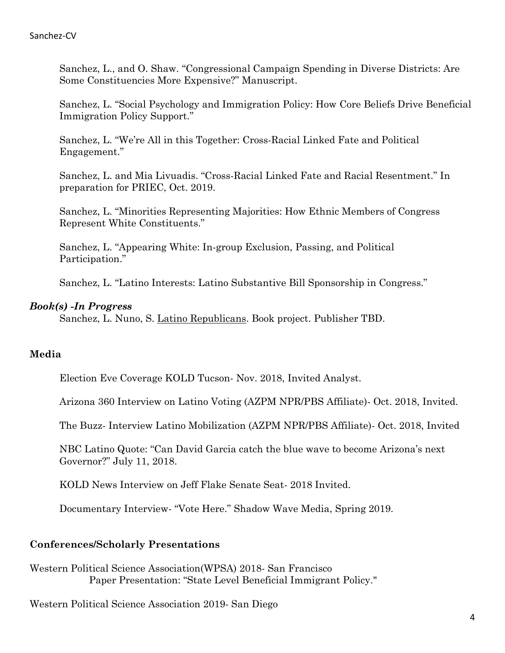Sanchez, L., and O. Shaw. "Congressional Campaign Spending in Diverse Districts: Are Some Constituencies More Expensive?" Manuscript.

Sanchez, L. "Social Psychology and Immigration Policy: How Core Beliefs Drive Beneficial Immigration Policy Support."

Sanchez, L. "We're All in this Together: Cross-Racial Linked Fate and Political Engagement."

Sanchez, L. and Mia Livuadis. "Cross-Racial Linked Fate and Racial Resentment." In preparation for PRIEC, Oct. 2019.

Sanchez, L. "Minorities Representing Majorities: How Ethnic Members of Congress Represent White Constituents."

Sanchez, L. "Appearing White: In-group Exclusion, Passing, and Political Participation."

Sanchez, L. "Latino Interests: Latino Substantive Bill Sponsorship in Congress."

#### *Book(s) -In Progress*

Sanchez, L. Nuno, S. Latino Republicans. Book project. Publisher TBD.

# **Media**

Election Eve Coverage KOLD Tucson- Nov. 2018, Invited Analyst.

Arizona 360 Interview on Latino Voting (AZPM NPR/PBS Affiliate)- Oct. 2018, Invited.

The Buzz- Interview Latino Mobilization (AZPM NPR/PBS Affiliate)- Oct. 2018, Invited

NBC Latino Quote: "Can David Garcia catch the blue wave to become Arizona's next Governor?" July 11, 2018.

KOLD News Interview on Jeff Flake Senate Seat- 2018 Invited.

Documentary Interview- "Vote Here." Shadow Wave Media, Spring 2019.

# **Conferences/Scholarly Presentations**

Western Political Science Association(WPSA) 2018- San Francisco Paper Presentation: "State Level Beneficial Immigrant Policy."

Western Political Science Association 2019- San Diego